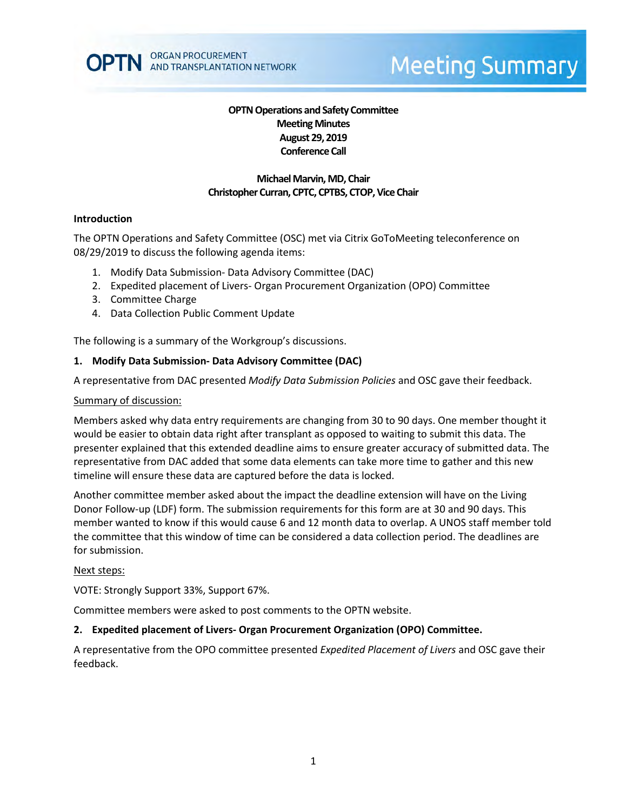

# **Meeting Summary**

# **OPTN Operations and Safety Committee Meeting Minutes August 29, 2019 Conference Call**

#### **Michael Marvin, MD, Chair Christopher Curran, CPTC, CPTBS, CTOP, Vice Chair**

#### **Introduction**

The OPTN Operations and Safety Committee (OSC) met via Citrix GoToMeeting teleconference on 08/29/2019 to discuss the following agenda items:

- 1. Modify Data Submission- Data Advisory Committee (DAC)
- 2. Expedited placement of Livers- Organ Procurement Organization (OPO) Committee
- 3. Committee Charge
- 4. Data Collection Public Comment Update

The following is a summary of the Workgroup's discussions.

#### **1. Modify Data Submission- Data Advisory Committee (DAC)**

A representative from DAC presented *Modify Data Submission Policies* and OSC gave their feedback.

#### Summary of discussion:

Members asked why data entry requirements are changing from 30 to 90 days. One member thought it would be easier to obtain data right after transplant as opposed to waiting to submit this data. The presenter explained that this extended deadline aims to ensure greater accuracy of submitted data. The representative from DAC added that some data elements can take more time to gather and this new timeline will ensure these data are captured before the data is locked.

Another committee member asked about the impact the deadline extension will have on the Living Donor Follow-up (LDF) form. The submission requirements for this form are at 30 and 90 days. This member wanted to know if this would cause 6 and 12 month data to overlap. A UNOS staff member told the committee that this window of time can be considered a data collection period. The deadlines are for submission.

#### Next steps:

VOTE: Strongly Support 33%, Support 67%.

Committee members were asked to post comments to the OPTN website.

#### **2. Expedited placement of Livers- Organ Procurement Organization (OPO) Committee.**

A representative from the OPO committee presented *Expedited Placement of Livers* and OSC gave their feedback.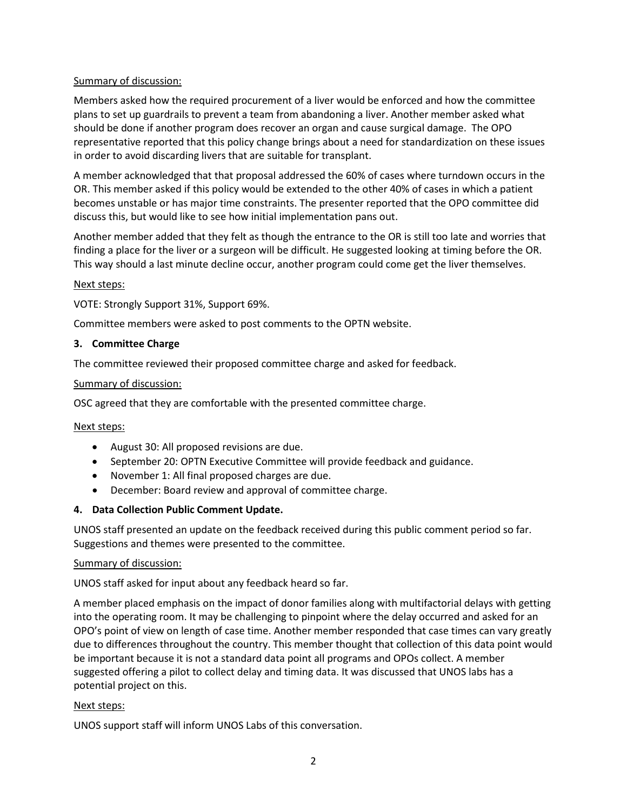# Summary of discussion:

Members asked how the required procurement of a liver would be enforced and how the committee plans to set up guardrails to prevent a team from abandoning a liver. Another member asked what should be done if another program does recover an organ and cause surgical damage. The OPO representative reported that this policy change brings about a need for standardization on these issues in order to avoid discarding livers that are suitable for transplant.

A member acknowledged that that proposal addressed the 60% of cases where turndown occurs in the OR. This member asked if this policy would be extended to the other 40% of cases in which a patient becomes unstable or has major time constraints. The presenter reported that the OPO committee did discuss this, but would like to see how initial implementation pans out.

Another member added that they felt as though the entrance to the OR is still too late and worries that finding a place for the liver or a surgeon will be difficult. He suggested looking at timing before the OR. This way should a last minute decline occur, another program could come get the liver themselves.

### Next steps:

VOTE: Strongly Support 31%, Support 69%.

Committee members were asked to post comments to the OPTN website.

# **3. Committee Charge**

The committee reviewed their proposed committee charge and asked for feedback.

### Summary of discussion:

OSC agreed that they are comfortable with the presented committee charge.

### Next steps:

- August 30: All proposed revisions are due.
- September 20: OPTN Executive Committee will provide feedback and guidance.
- November 1: All final proposed charges are due.
- December: Board review and approval of committee charge.

# **4. Data Collection Public Comment Update.**

UNOS staff presented an update on the feedback received during this public comment period so far. Suggestions and themes were presented to the committee.

### Summary of discussion:

UNOS staff asked for input about any feedback heard so far.

A member placed emphasis on the impact of donor families along with multifactorial delays with getting into the operating room. It may be challenging to pinpoint where the delay occurred and asked for an OPO's point of view on length of case time. Another member responded that case times can vary greatly due to differences throughout the country. This member thought that collection of this data point would be important because it is not a standard data point all programs and OPOs collect. A member suggested offering a pilot to collect delay and timing data. It was discussed that UNOS labs has a potential project on this.

### Next steps:

UNOS support staff will inform UNOS Labs of this conversation.